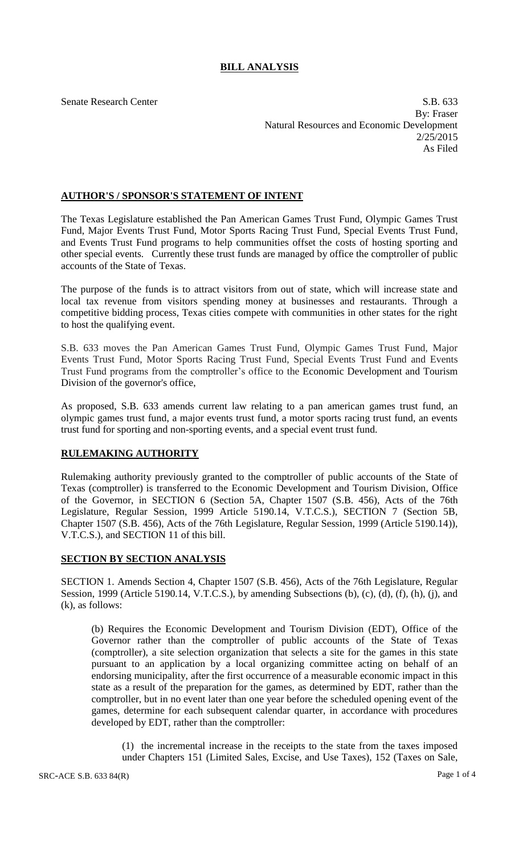## **BILL ANALYSIS**

Senate Research Center S.B. 633 By: Fraser Natural Resources and Economic Development 2/25/2015 As Filed

## **AUTHOR'S / SPONSOR'S STATEMENT OF INTENT**

The Texas Legislature established the Pan American Games Trust Fund, Olympic Games Trust Fund, Major Events Trust Fund, Motor Sports Racing Trust Fund, Special Events Trust Fund, and Events Trust Fund programs to help communities offset the costs of hosting sporting and other special events. Currently these trust funds are managed by office the comptroller of public accounts of the State of Texas.

The purpose of the funds is to attract visitors from out of state, which will increase state and local tax revenue from visitors spending money at businesses and restaurants. Through a competitive bidding process, Texas cities compete with communities in other states for the right to host the qualifying event.

S.B. 633 moves the Pan American Games Trust Fund, Olympic Games Trust Fund, Major Events Trust Fund, Motor Sports Racing Trust Fund, Special Events Trust Fund and Events Trust Fund programs from the comptroller's office to the Economic Development and Tourism Division of the governor's office,

As proposed, S.B. 633 amends current law relating to a pan american games trust fund, an olympic games trust fund, a major events trust fund, a motor sports racing trust fund, an events trust fund for sporting and non-sporting events, and a special event trust fund.

## **RULEMAKING AUTHORITY**

Rulemaking authority previously granted to the comptroller of public accounts of the State of Texas (comptroller) is transferred to the Economic Development and Tourism Division, Office of the Governor, in SECTION 6 (Section 5A, Chapter 1507 (S.B. 456), Acts of the 76th Legislature, Regular Session, 1999 Article 5190.14, V.T.C.S.), SECTION 7 (Section 5B, Chapter 1507 (S.B. 456), Acts of the 76th Legislature, Regular Session, 1999 (Article 5190.14)), V.T.C.S.), and SECTION 11 of this bill.

## **SECTION BY SECTION ANALYSIS**

SECTION 1. Amends Section 4, Chapter 1507 (S.B. 456), Acts of the 76th Legislature, Regular Session, 1999 (Article 5190.14, V.T.C.S.), by amending Subsections (b), (c), (d), (f), (h), (j), and (k), as follows:

(b) Requires the Economic Development and Tourism Division (EDT), Office of the Governor rather than the comptroller of public accounts of the State of Texas (comptroller), a site selection organization that selects a site for the games in this state pursuant to an application by a local organizing committee acting on behalf of an endorsing municipality, after the first occurrence of a measurable economic impact in this state as a result of the preparation for the games, as determined by EDT, rather than the comptroller, but in no event later than one year before the scheduled opening event of the games, determine for each subsequent calendar quarter, in accordance with procedures developed by EDT, rather than the comptroller:

(1) the incremental increase in the receipts to the state from the taxes imposed under Chapters 151 (Limited Sales, Excise, and Use Taxes), 152 (Taxes on Sale,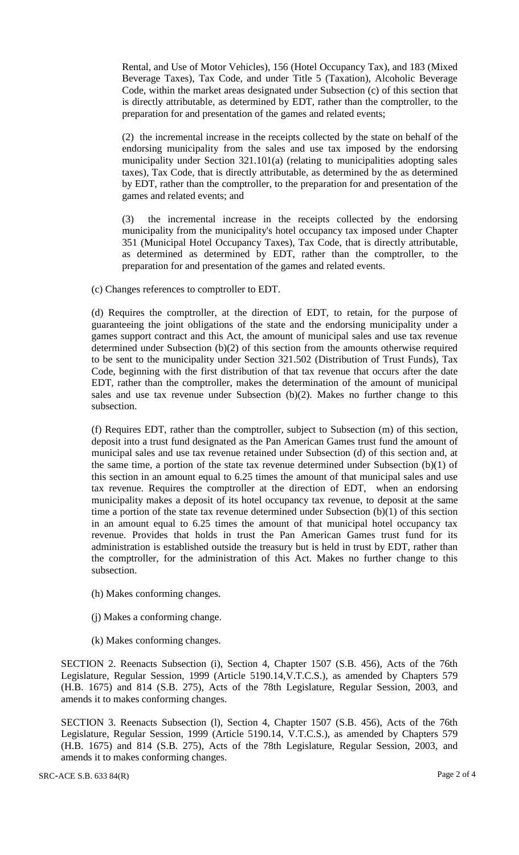Rental, and Use of Motor Vehicles), 156 (Hotel Occupancy Tax), and 183 (Mixed Beverage Taxes), Tax Code, and under Title 5 (Taxation), Alcoholic Beverage Code, within the market areas designated under Subsection (c) of this section that is directly attributable, as determined by EDT, rather than the comptroller, to the preparation for and presentation of the games and related events;

(2) the incremental increase in the receipts collected by the state on behalf of the endorsing municipality from the sales and use tax imposed by the endorsing municipality under Section 321.101(a) (relating to municipalities adopting sales taxes), Tax Code, that is directly attributable, as determined by the as determined by EDT, rather than the comptroller, to the preparation for and presentation of the games and related events; and

(3) the incremental increase in the receipts collected by the endorsing municipality from the municipality's hotel occupancy tax imposed under Chapter 351 (Municipal Hotel Occupancy Taxes), Tax Code, that is directly attributable, as determined as determined by EDT, rather than the comptroller, to the preparation for and presentation of the games and related events.

(c) Changes references to comptroller to EDT.

(d) Requires the comptroller, at the direction of EDT, to retain, for the purpose of guaranteeing the joint obligations of the state and the endorsing municipality under a games support contract and this Act, the amount of municipal sales and use tax revenue determined under Subsection (b)(2) of this section from the amounts otherwise required to be sent to the municipality under Section 321.502 (Distribution of Trust Funds), Tax Code, beginning with the first distribution of that tax revenue that occurs after the date EDT, rather than the comptroller, makes the determination of the amount of municipal sales and use tax revenue under Subsection (b)(2). Makes no further change to this subsection.

(f) Requires EDT, rather than the comptroller, subject to Subsection (m) of this section, deposit into a trust fund designated as the Pan American Games trust fund the amount of municipal sales and use tax revenue retained under Subsection (d) of this section and, at the same time, a portion of the state tax revenue determined under Subsection (b)(1) of this section in an amount equal to 6.25 times the amount of that municipal sales and use tax revenue. Requires the comptroller at the direction of EDT, when an endorsing municipality makes a deposit of its hotel occupancy tax revenue, to deposit at the same time a portion of the state tax revenue determined under Subsection (b)(1) of this section in an amount equal to 6.25 times the amount of that municipal hotel occupancy tax revenue. Provides that holds in trust the Pan American Games trust fund for its administration is established outside the treasury but is held in trust by EDT, rather than the comptroller, for the administration of this Act. Makes no further change to this subsection.

- (h) Makes conforming changes.
- (j) Makes a conforming change.
- (k) Makes conforming changes.

SECTION 2. Reenacts Subsection (i), Section 4, Chapter 1507 (S.B. 456), Acts of the 76th Legislature, Regular Session, 1999 (Article 5190.14,V.T.C.S.), as amended by Chapters 579 (H.B. 1675) and 814 (S.B. 275), Acts of the 78th Legislature, Regular Session, 2003, and amends it to makes conforming changes.

SECTION 3. Reenacts Subsection (l), Section 4, Chapter 1507 (S.B. 456), Acts of the 76th Legislature, Regular Session, 1999 (Article 5190.14, V.T.C.S.), as amended by Chapters 579 (H.B. 1675) and 814 (S.B. 275), Acts of the 78th Legislature, Regular Session, 2003, and amends it to makes conforming changes.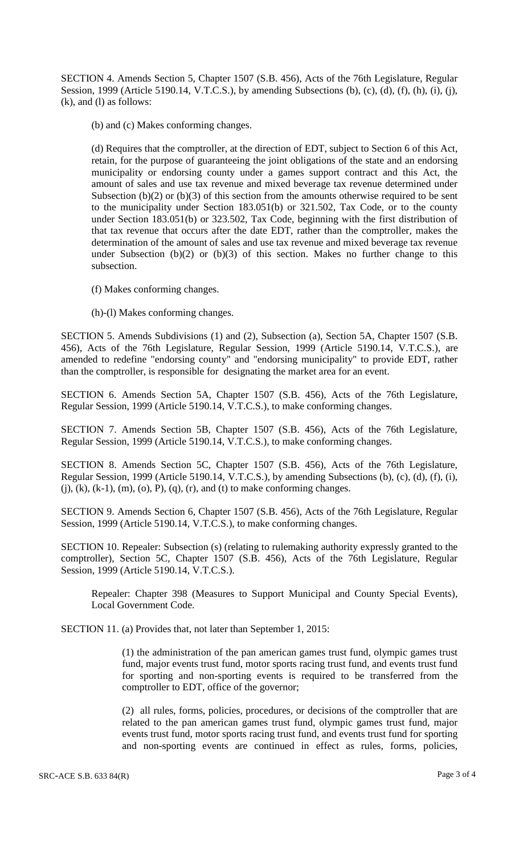SECTION 4. Amends Section 5, Chapter 1507 (S.B. 456), Acts of the 76th Legislature, Regular Session, 1999 (Article 5190.14, V.T.C.S.), by amending Subsections (b), (c), (d), (f), (h), (i), (j), (k), and (l) as follows:

(b) and (c) Makes conforming changes.

(d) Requires that the comptroller, at the direction of EDT, subject to Section 6 of this Act, retain, for the purpose of guaranteeing the joint obligations of the state and an endorsing municipality or endorsing county under a games support contract and this Act, the amount of sales and use tax revenue and mixed beverage tax revenue determined under Subsection  $(b)(2)$  or  $(b)(3)$  of this section from the amounts otherwise required to be sent to the municipality under Section 183.051(b) or 321.502, Tax Code, or to the county under Section 183.051(b) or 323.502, Tax Code, beginning with the first distribution of that tax revenue that occurs after the date EDT, rather than the comptroller, makes the determination of the amount of sales and use tax revenue and mixed beverage tax revenue under Subsection  $(b)(2)$  or  $(b)(3)$  of this section. Makes no further change to this subsection.

- (f) Makes conforming changes.
- (h)-(l) Makes conforming changes.

SECTION 5. Amends Subdivisions (1) and (2), Subsection (a), Section 5A, Chapter 1507 (S.B. 456), Acts of the 76th Legislature, Regular Session, 1999 (Article 5190.14, V.T.C.S.), are amended to redefine "endorsing county" and "endorsing municipality" to provide EDT, rather than the comptroller, is responsible for designating the market area for an event.

SECTION 6. Amends Section 5A, Chapter 1507 (S.B. 456), Acts of the 76th Legislature, Regular Session, 1999 (Article 5190.14, V.T.C.S.), to make conforming changes.

SECTION 7. Amends Section 5B, Chapter 1507 (S.B. 456), Acts of the 76th Legislature, Regular Session, 1999 (Article 5190.14, V.T.C.S.), to make conforming changes.

SECTION 8. Amends Section 5C, Chapter 1507 (S.B. 456), Acts of the 76th Legislature, Regular Session, 1999 (Article 5190.14, V.T.C.S.), by amending Subsections (b), (c), (d), (f), (i),  $(j)$ ,  $(k)$ ,  $(k-1)$ ,  $(m)$ ,  $(o)$ ,  $P$ ),  $(q)$ ,  $(r)$ , and  $(t)$  to make conforming changes.

SECTION 9. Amends Section 6, Chapter 1507 (S.B. 456), Acts of the 76th Legislature, Regular Session, 1999 (Article 5190.14, V.T.C.S.), to make conforming changes.

SECTION 10. Repealer: Subsection (s) (relating to rulemaking authority expressly granted to the comptroller), Section 5C, Chapter 1507 (S.B. 456), Acts of the 76th Legislature, Regular Session, 1999 (Article 5190.14, V.T.C.S.).

Repealer: Chapter 398 (Measures to Support Municipal and County Special Events), Local Government Code.

SECTION 11. (a) Provides that, not later than September 1, 2015:

(1) the administration of the pan american games trust fund, olympic games trust fund, major events trust fund, motor sports racing trust fund, and events trust fund for sporting and non-sporting events is required to be transferred from the comptroller to EDT, office of the governor;

(2) all rules, forms, policies, procedures, or decisions of the comptroller that are related to the pan american games trust fund, olympic games trust fund, major events trust fund, motor sports racing trust fund, and events trust fund for sporting and non-sporting events are continued in effect as rules, forms, policies,